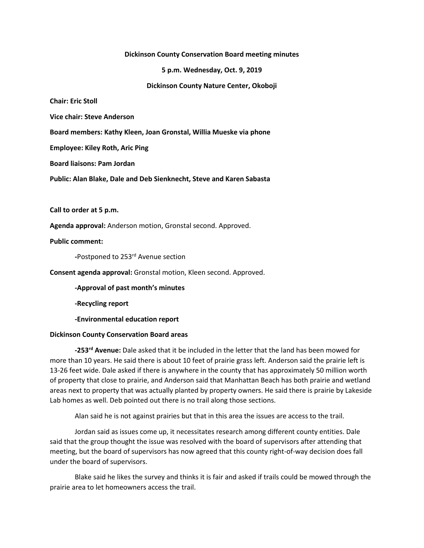## **Dickinson County Conservation Board meeting minutes**

**5 p.m. Wednesday, Oct. 9, 2019**

**Dickinson County Nature Center, Okoboji**

**Chair: Eric Stoll**

**Vice chair: Steve Anderson**

**Board members: Kathy Kleen, Joan Gronstal, Willia Mueske via phone**

**Employee: Kiley Roth, Aric Ping**

**Board liaisons: Pam Jordan**

**Public: Alan Blake, Dale and Deb Sienknecht, Steve and Karen Sabasta**

**Call to order at 5 p.m.**

**Agenda approval:** Anderson motion, Gronstal second. Approved.

**Public comment:**

**-**Postponed to 253rd Avenue section

**Consent agenda approval:** Gronstal motion, Kleen second. Approved.

**-Approval of past month's minutes**

**-Recycling report**

**-Environmental education report**

## **Dickinson County Conservation Board areas**

**-253rd Avenue:** Dale asked that it be included in the letter that the land has been mowed for more than 10 years. He said there is about 10 feet of prairie grass left. Anderson said the prairie left is 13-26 feet wide. Dale asked if there is anywhere in the county that has approximately 50 million worth of property that close to prairie, and Anderson said that Manhattan Beach has both prairie and wetland areas next to property that was actually planted by property owners. He said there is prairie by Lakeside Lab homes as well. Deb pointed out there is no trail along those sections.

Alan said he is not against prairies but that in this area the issues are access to the trail.

Jordan said as issues come up, it necessitates research among different county entities. Dale said that the group thought the issue was resolved with the board of supervisors after attending that meeting, but the board of supervisors has now agreed that this county right-of-way decision does fall under the board of supervisors.

Blake said he likes the survey and thinks it is fair and asked if trails could be mowed through the prairie area to let homeowners access the trail.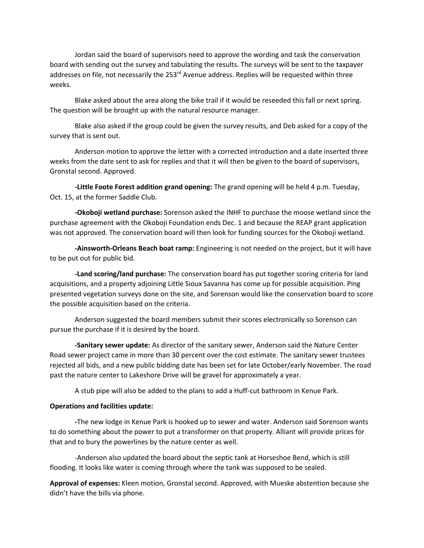Jordan said the board of supervisors need to approve the wording and task the conservation board with sending out the survey and tabulating the results. The surveys will be sent to the taxpayer addresses on file, not necessarily the  $253<sup>rd</sup>$  Avenue address. Replies will be requested within three weeks.

Blake asked about the area along the bike trail if it would be reseeded this fall or next spring. The question will be brought up with the natural resource manager.

Blake also asked if the group could be given the survey results, and Deb asked for a copy of the survey that is sent out.

Anderson motion to approve the letter with a corrected introduction and a date inserted three weeks from the date sent to ask for replies and that it will then be given to the board of supervisors, Gronstal second. Approved.

**-Little Foote Forest addition grand opening:** The grand opening will be held 4 p.m. Tuesday, Oct. 15, at the former Saddle Club.

**-Okoboji wetland purchase:** Sorenson asked the INHF to purchase the moose wetland since the purchase agreement with the Okoboji Foundation ends Dec. 1 and because the REAP grant application was not approved. The conservation board will then look for funding sources for the Okoboji wetland.

**-Ainsworth-Orleans Beach boat ramp:** Engineering is not needed on the project, but it will have to be put out for public bid.

**-Land scoring/land purchase:** The conservation board has put together scoring criteria for land acquisitions, and a property adjoining Little Sioux Savanna has come up for possible acquisition. Ping presented vegetation surveys done on the site, and Sorenson would like the conservation board to score the possible acquisition based on the criteria.

Anderson suggested the board members submit their scores electronically so Sorenson can pursue the purchase if it is desired by the board.

**-Sanitary sewer update:** As director of the sanitary sewer, Anderson said the Nature Center Road sewer project came in more than 30 percent over the cost estimate. The sanitary sewer trustees rejected all bids, and a new public bidding date has been set for late October/early November. The road past the nature center to Lakeshore Drive will be gravel for approximately a year.

A stub pipe will also be added to the plans to add a Huff-cut bathroom in Kenue Park.

## **Operations and facilities update:**

**-**The new lodge in Kenue Park is hooked up to sewer and water. Anderson said Sorenson wants to do something about the power to put a transformer on that property. Alliant will provide prices for that and to bury the powerlines by the nature center as well.

-Anderson also updated the board about the septic tank at Horseshoe Bend, which is still flooding. It looks like water is coming through where the tank was supposed to be sealed.

**Approval of expenses:** Kleen motion, Gronstal second. Approved, with Mueske abstention because she didn't have the bills via phone.